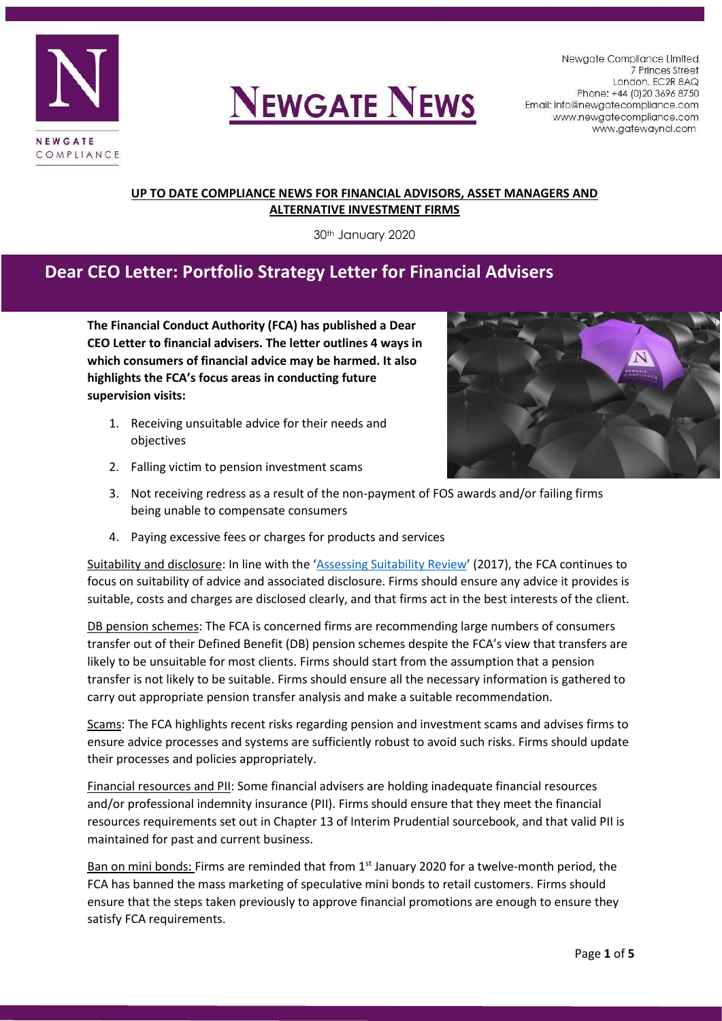



Newgate Compliance Limited 7 Princes Street London. EC2R 8AQ Phone: +44 (0) 20 3696 8750 Email: info@newgatecompliance.com www.newgatecompliance.com www.gatewayncl.com

### **UP TO DATE COMPLIANCE NEWS FOR FINANCIAL ADVISORS, ASSET MANAGERS AND ALTERNATIVE INVESTMENT FIRMS**

30th January 2020

### **Dear CEO Letter: Portfolio Strategy Letter for Financial Advisers**

**The Financial Conduct Authority (FCA) has published a Dear CEO Letter to financial advisers. The letter outlines 4 ways in which consumers of financial advice may be harmed. It also highlights the FCA's focus areas in conducting future supervision visits:**

- 1. Receiving unsuitable advice for their needs and objectives
- 2. Falling victim to pension investment scams



- 3. Not receiving redress as a result of the non-payment of FOS awards and/or failing firms being unable to compensate consumers
- 4. Paying excessive fees or charges for products and services

Suitability and disclosure: In line with the '[Assessing Suitability Review](https://www.fca.org.uk/publications/multi-firm-reviews/assessing-suitability-review)' (2017), the FCA continues to focus on suitability of advice and associated disclosure. Firms should ensure any advice it provides is suitable, costs and charges are disclosed clearly, and that firms act in the best interests of the client.

DB pension schemes: The FCA is concerned firms are recommending large numbers of consumers transfer out of their Defined Benefit (DB) pension schemes despite the FCA's view that transfers are likely to be unsuitable for most clients. Firms should start from the assumption that a pension transfer is not likely to be suitable. Firms should ensure all the necessary information is gathered to carry out appropriate pension transfer analysis and make a suitable recommendation.

Scams: The FCA highlights recent risks regarding pension and investment scams and advises firms to ensure advice processes and systems are sufficiently robust to avoid such risks. Firms should update their processes and policies appropriately.

Financial resources and PII: Some financial advisers are holding inadequate financial resources and/or professional indemnity insurance (PII). Firms should ensure that they meet the financial resources requirements set out in Chapter 13 of Interim Prudential sourcebook, and that valid PII is maintained for past and current business.

Ban on mini bonds: Firms are reminded that from  $1<sup>st</sup>$  January 2020 for a twelve-month period, the FCA has banned the mass marketing of speculative mini bonds to retail customers. Firms should ensure that the steps taken previously to approve financial promotions are enough to ensure they satisfy FCA requirements.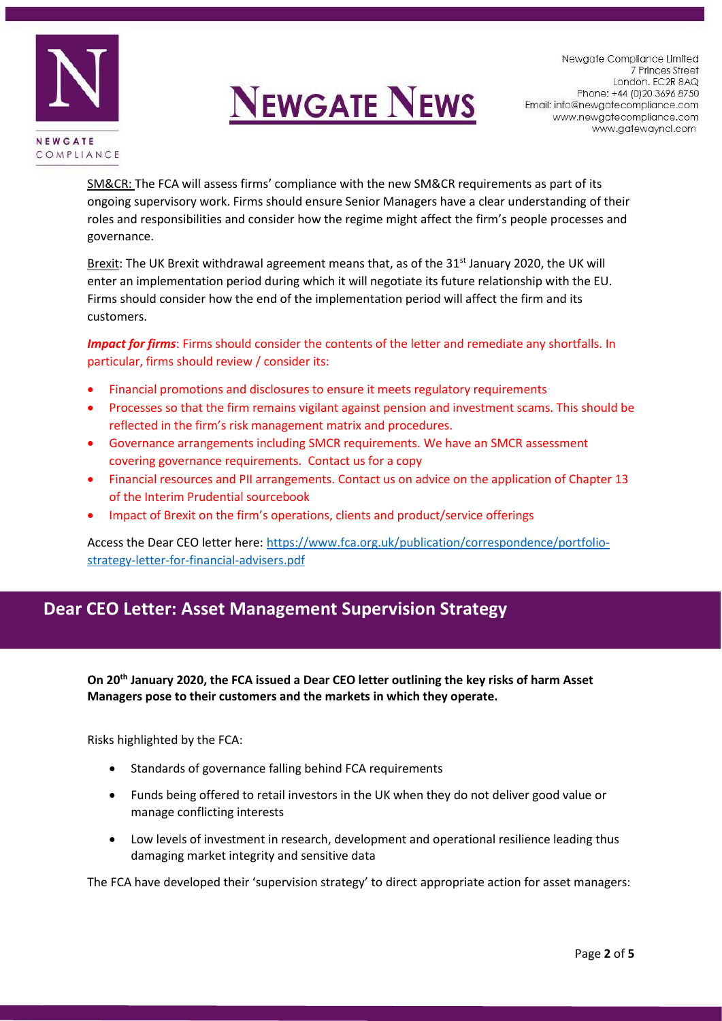

Newgate Compliance Limited 7 Princes Street London. EC2R 8AQ Phone: +44 (0) 20 3696 8750 Email: info@newgatecompliance.com www.newgatecompliance.com www.gatewayncl.com

SM&CR: The FCA will assess firms' compliance with the new SM&CR requirements as part of its ongoing supervisory work. Firms should ensure Senior Managers have a clear understanding of their roles and responsibilities and consider how the regime might affect the firm's people processes and governance.

Brexit: The UK Brexit withdrawal agreement means that, as of the 31<sup>st</sup> January 2020, the UK will enter an implementation period during which it will negotiate its future relationship with the EU. Firms should consider how the end of the implementation period will affect the firm and its customers.

*Impact for firms*: Firms should consider the contents of the letter and remediate any shortfalls. In particular, firms should review / consider its:

- Financial promotions and disclosures to ensure it meets regulatory requirements
- Processes so that the firm remains vigilant against pension and investment scams. This should be reflected in the firm's risk management matrix and procedures.
- Governance arrangements including SMCR requirements. We have an SMCR assessment covering governance requirements. Contact us for a copy
- Financial resources and PII arrangements. Contact us on advice on the application of Chapter 13 of the Interim Prudential sourcebook
- Impact of Brexit on the firm's operations, clients and product/service offerings

Access the Dear CEO letter here[: https://www.fca.org.uk/publication/correspondence/portfolio](https://www.fca.org.uk/publication/correspondence/portfolio-strategy-letter-for-financial-advisers.pdf)[strategy-letter-for-financial-advisers.pdf](https://www.fca.org.uk/publication/correspondence/portfolio-strategy-letter-for-financial-advisers.pdf)

### **Dear CEO Letter: Asset Management Supervision Strategy**

**On 20th January 2020, the FCA issued a Dear CEO letter outlining the key risks of harm Asset Managers pose to their customers and the markets in which they operate.** 

Risks highlighted by the FCA:

- Standards of governance falling behind FCA requirements
- Funds being offered to retail investors in the UK when they do not deliver good value or manage conflicting interests
- Low levels of investment in research, development and operational resilience leading thus damaging market integrity and sensitive data

The FCA have developed their 'supervision strategy' to direct appropriate action for asset managers: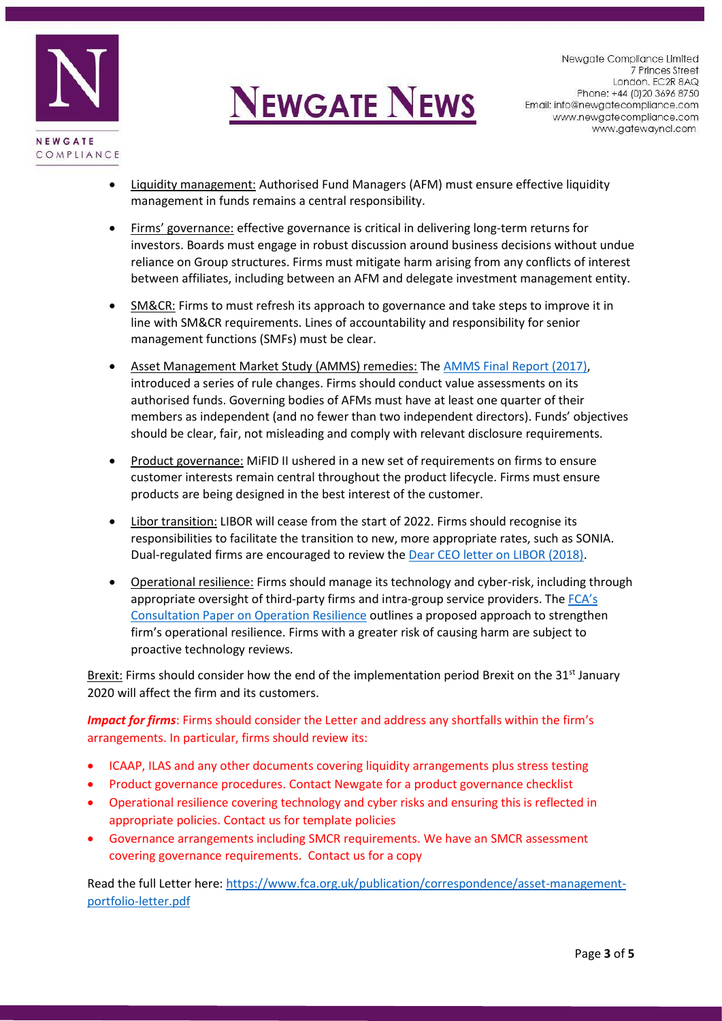

- Liquidity management: Authorised Fund Managers (AFM) must ensure effective liquidity management in funds remains a central responsibility.
- Firms' governance: effective governance is critical in delivering long-term returns for investors. Boards must engage in robust discussion around business decisions without undue reliance on Group structures. Firms must mitigate harm arising from any conflicts of interest between affiliates, including between an AFM and delegate investment management entity.
- SM&CR: Firms to must refresh its approach to governance and take steps to improve it in line with SM&CR requirements. Lines of accountability and responsibility for senior management functions (SMFs) must be clear.
- Asset Management Market Study (AMMS) remedies: Th[e AMMS Final Report \(2017\),](https://www.fca.org.uk/publication/market-studies/ms15-2-3.pdf) introduced a series of rule changes. Firms should conduct value assessments on its authorised funds. Governing bodies of AFMs must have at least one quarter of their members as independent (and no fewer than two independent directors). Funds' objectives should be clear, fair, not misleading and comply with relevant disclosure requirements.
- Product governance: MiFID II ushered in a new set of requirements on firms to ensure customer interests remain central throughout the product lifecycle. Firms must ensure products are being designed in the best interest of the customer.
- Libor transition: LIBOR will cease from the start of 2022. Firms should recognise its responsibilities to facilitate the transition to new, more appropriate rates, such as SONIA. Dual-regulated firms are encouraged to review the [Dear CEO letter on LIBOR \(2018\).](https://www.fca.org.uk/publication/correspondence/dear-ceo-letter-firms-transition-from-libor-insurers.pdf)
- Operational resilience: Firms should manage its technology and cyber-risk, including through appropriate oversight of third-party firms and intra-group service providers. The [FCA's](https://www.fca.org.uk/publication/consultation/cp19-32.pdf)  [Consultation Paper on Operation Resilience](https://www.fca.org.uk/publication/consultation/cp19-32.pdf) outlines a proposed approach to strengthen firm's operational resilience. Firms with a greater risk of causing harm are subject to proactive technology reviews.

Brexit: Firms should consider how the end of the implementation period Brexit on the 31<sup>st</sup> January 2020 will affect the firm and its customers.

*Impact for firms*: Firms should consider the Letter and address any shortfalls within the firm's arrangements. In particular, firms should review its:

- ICAAP, ILAS and any other documents covering liquidity arrangements plus stress testing
- Product governance procedures. Contact Newgate for a product governance checklist
- Operational resilience covering technology and cyber risks and ensuring this is reflected in appropriate policies. Contact us for template policies
- Governance arrangements including SMCR requirements. We have an SMCR assessment covering governance requirements. Contact us for a copy

Read the full Letter here: [https://www.fca.org.uk/publication/correspondence/asset-management](https://www.fca.org.uk/publication/correspondence/asset-management-portfolio-letter.pdf)[portfolio-letter.pdf](https://www.fca.org.uk/publication/correspondence/asset-management-portfolio-letter.pdf)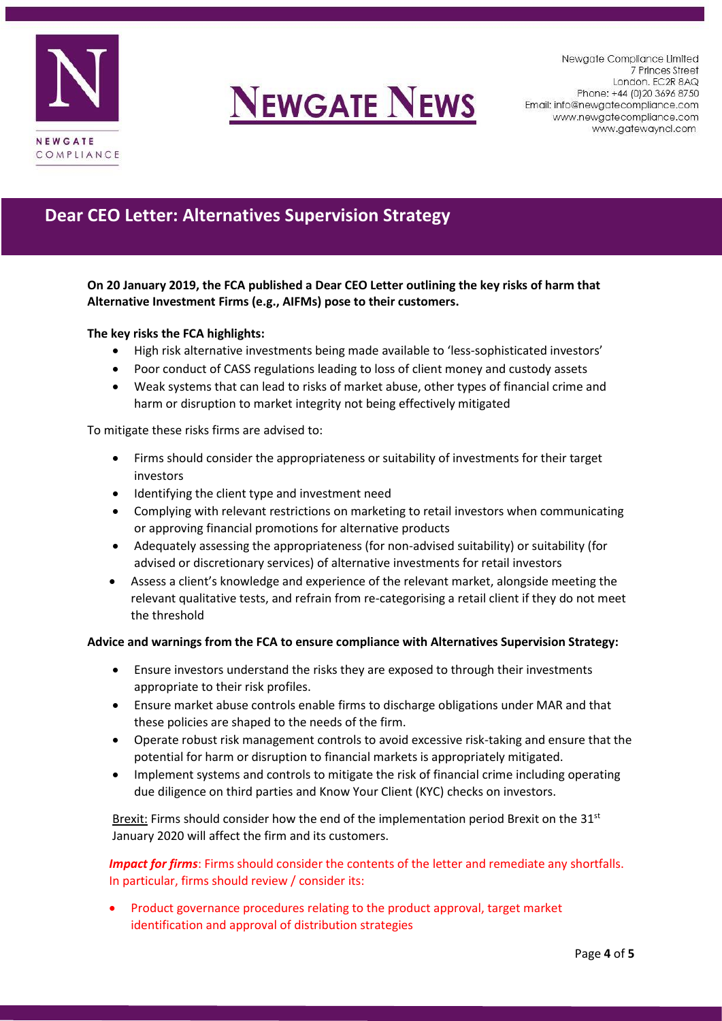

Newgate Compliance Limited 7 Princes Street London. EC2R 8AQ Phone: +44 (0) 20 3696 8750 Email: info@newgatecompliance.com www.newgatecompliance.com www.gatewayncl.com

## **Dear CEO Letter: Alternatives Supervision Strategy**

**On 20 January 2019, the FCA published a Dear CEO Letter outlining the key risks of harm that Alternative Investment Firms (e.g., AIFMs) pose to their customers.** 

### **The key risks the FCA highlights:**

- High risk alternative investments being made available to 'less-sophisticated investors'
- Poor conduct of CASS regulations leading to loss of client money and custody assets
- Weak systems that can lead to risks of market abuse, other types of financial crime and harm or disruption to market integrity not being effectively mitigated

To mitigate these risks firms are advised to:

- Firms should consider the appropriateness or suitability of investments for their target investors
- Identifying the client type and investment need
- Complying with relevant restrictions on marketing to retail investors when communicating or approving financial promotions for alternative products
- Adequately assessing the appropriateness (for non-advised suitability) or suitability (for advised or discretionary services) of alternative investments for retail investors
- Assess a client's knowledge and experience of the relevant market, alongside meeting the relevant qualitative tests, and refrain from re-categorising a retail client if they do not meet the threshold

#### **Advice and warnings from the FCA to ensure compliance with Alternatives Supervision Strategy:**

- Ensure investors understand the risks they are exposed to through their investments appropriate to their risk profiles.
- Ensure market abuse controls enable firms to discharge obligations under MAR and that these policies are shaped to the needs of the firm.
- Operate robust risk management controls to avoid excessive risk-taking and ensure that the potential for harm or disruption to financial markets is appropriately mitigated.
- Implement systems and controls to mitigate the risk of financial crime including operating due diligence on third parties and Know Your Client (KYC) checks on investors.

Brexit: Firms should consider how the end of the implementation period Brexit on the  $31<sup>st</sup>$ January 2020 will affect the firm and its customers.

*Impact for firms*: Firms should consider the contents of the letter and remediate any shortfalls. In particular, firms should review / consider its:

• Product governance procedures relating to the product approval, target market identification and approval of distribution strategies